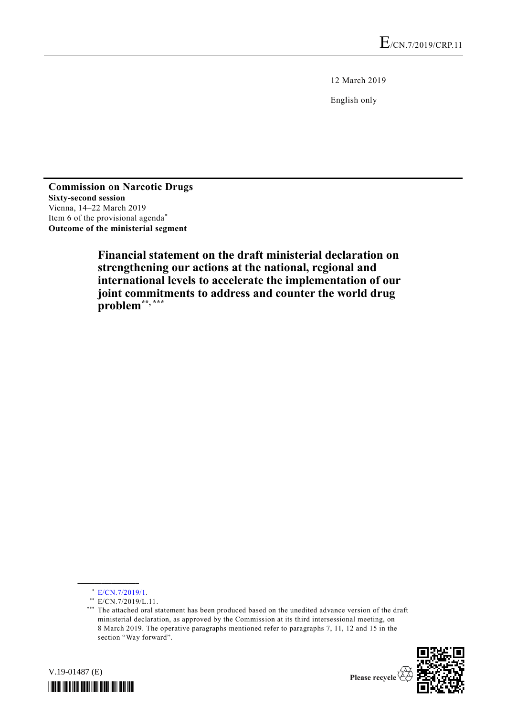12 March 2019

English only

**Commission on Narcotic Drugs Sixty-second session** Vienna, 14–22 March 2019 Item 6 of the provisional agenda\* **Outcome of the ministerial segment**

> **Financial statement on the draft ministerial declaration on strengthening our actions at the national, regional and international levels to accelerate the implementation of our joint commitments to address and counter the world drug problem\*\*, \*\*\***

**\_\_\_\_\_\_\_\_\_\_\_\_\_\_\_\_\_\_**

<sup>\*\*\*</sup> The attached oral statement has been produced based on the unedited advance version of the draft ministerial declaration, as approved by the Commission at its third intersessional meeting, on 8 March 2019. The operative paragraphs mentioned refer to paragraphs 7, 11, 12 and 15 in the section "Way forward".





 $*$  [E/CN.7/2019/1.](http://undocs.org/E/CN.7/2019/1)

<sup>\*\*</sup>  $E/CN.7/2019/L.11$ .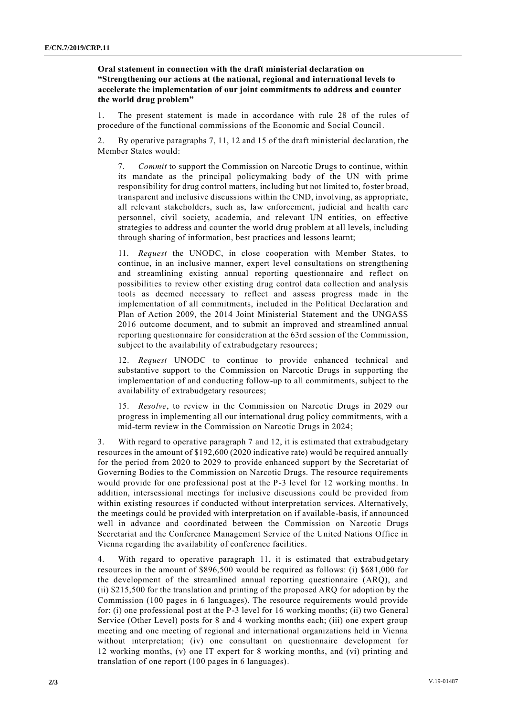**Oral statement in connection with the draft ministerial declaration on "Strengthening our actions at the national, regional and international levels to accelerate the implementation of our joint commitments to address and counter the world drug problem"**

1. The present statement is made in accordance with rule 28 of the rules of procedure of the functional commissions of the Economic and Social Council.

2. By operative paragraphs 7, 11, 12 and 15 of the draft ministerial declaration, the Member States would:

7. *Commit* to support the Commission on Narcotic Drugs to continue, within its mandate as the principal policymaking body of the UN with prime responsibility for drug control matters, including but not limited to, foster broad, transparent and inclusive discussions within the CND, involving, as appropriate, all relevant stakeholders, such as, law enforcement, judicial and health care personnel, civil society, academia, and relevant UN entities, on effective strategies to address and counter the world drug problem at all levels, including through sharing of information, best practices and lessons learnt;

11. *Request* the UNODC, in close cooperation with Member States, to continue, in an inclusive manner, expert level consultations on strengthening and streamlining existing annual reporting questionnaire and reflect on possibilities to review other existing drug control data collection and analysis tools as deemed necessary to reflect and assess progress made in the implementation of all commitments, included in the Political Declaration and Plan of Action 2009, the 2014 Joint Ministerial Statement and the UNGASS 2016 outcome document, and to submit an improved and streamlined annual reporting questionnaire for consideration at the 63rd session of the Commission, subject to the availability of extrabudgetary resources;

12. *Request* UNODC to continue to provide enhanced technical and substantive support to the Commission on Narcotic Drugs in supporting the implementation of and conducting follow-up to all commitments, subject to the availability of extrabudgetary resources;

15. *Resolve*, to review in the Commission on Narcotic Drugs in 2029 our progress in implementing all our international drug policy commitments, with a mid-term review in the Commission on Narcotic Drugs in 2024;

3. With regard to operative paragraph 7 and 12, it is estimated that extrabudgetary resources in the amount of \$192,600 (2020 indicative rate) would be required annually for the period from 2020 to 2029 to provide enhanced support by the Secretariat of Governing Bodies to the Commission on Narcotic Drugs. The resource requirements would provide for one professional post at the P-3 level for 12 working months. In addition, intersessional meetings for inclusive discussions could be provided from within existing resources if conducted without interpretation services. Alternatively, the meetings could be provided with interpretation on if available -basis, if announced well in advance and coordinated between the Commission on Narcotic Drugs Secretariat and the Conference Management Service of the United Nations Office in Vienna regarding the availability of conference facilities.

4. With regard to operative paragraph 11, it is estimated that extrabudgetary resources in the amount of \$896,500 would be required as follows: (i) \$681,000 for the development of the streamlined annual reporting questionnaire (ARQ), and (ii) \$215,500 for the translation and printing of the proposed ARQ for adoption by the Commission (100 pages in 6 languages). The resource requirements would provide for: (i) one professional post at the P-3 level for 16 working months; (ii) two General Service (Other Level) posts for 8 and 4 working months each; (iii) one expert group meeting and one meeting of regional and international organizations held in Vienna without interpretation; (iv) one consultant on questionnaire development for 12 working months, (v) one IT expert for 8 working months, and (vi) printing and translation of one report (100 pages in 6 languages).